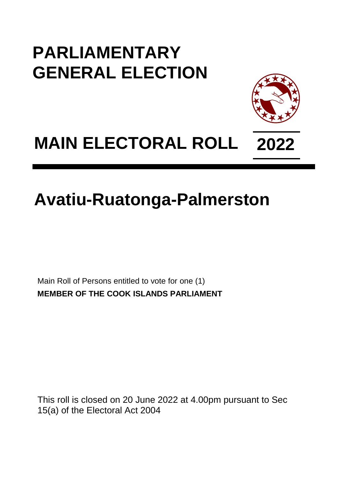# **PARLIAMENTARY GENERAL ELECTION**



# **MAIN ELECTORAL ROLL 2022**

# **Avatiu-Ruatonga-Palmerston**

Main Roll of Persons entitled to vote for one (1) **MEMBER OF THE COOK ISLANDS PARLIAMENT**

This roll is closed on 20 June 2022 at 4.00pm pursuant to Sec 15(a) of the Electoral Act 2004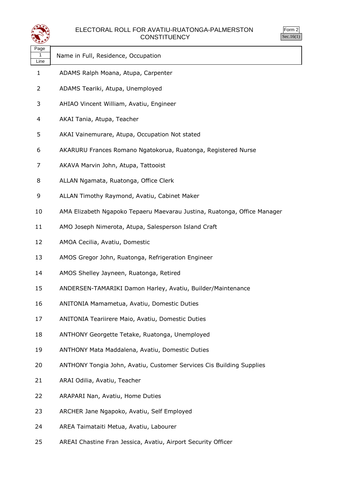



|      | Name in Full, Residence, Occupation |
|------|-------------------------------------|
| Line |                                     |

- ADAMS Ralph Moana, Atupa, Carpenter
- ADAMS Teariki, Atupa, Unemployed
- AHIAO Vincent William, Avatiu, Engineer
- AKAI Tania, Atupa, Teacher
- AKAI Vainemurare, Atupa, Occupation Not stated
- AKARURU Frances Romano Ngatokorua, Ruatonga, Registered Nurse
- AKAVA Marvin John, Atupa, Tattooist
- ALLAN Ngamata, Ruatonga, Office Clerk
- ALLAN Timothy Raymond, Avatiu, Cabinet Maker
- AMA Elizabeth Ngapoko Tepaeru Maevarau Justina, Ruatonga, Office Manager
- AMO Joseph Nimerota, Atupa, Salesperson Island Craft
- AMOA Cecilia, Avatiu, Domestic
- AMOS Gregor John, Ruatonga, Refrigeration Engineer
- AMOS Shelley Jayneen, Ruatonga, Retired
- ANDERSEN-TAMARIKI Damon Harley, Avatiu, Builder/Maintenance
- ANITONIA Mamametua, Avatiu, Domestic Duties
- ANITONIA Teariirere Maio, Avatiu, Domestic Duties
- ANTHONY Georgette Tetake, Ruatonga, Unemployed
- ANTHONY Mata Maddalena, Avatiu, Domestic Duties
- ANTHONY Tongia John, Avatiu, Customer Services Cis Building Supplies
- ARAI Odilia, Avatiu, Teacher
- ARAPARI Nan, Avatiu, Home Duties
- ARCHER Jane Ngapoko, Avatiu, Self Employed
- AREA Taimataiti Metua, Avatiu, Labourer
- AREAI Chastine Fran Jessica, Avatiu, Airport Security Officer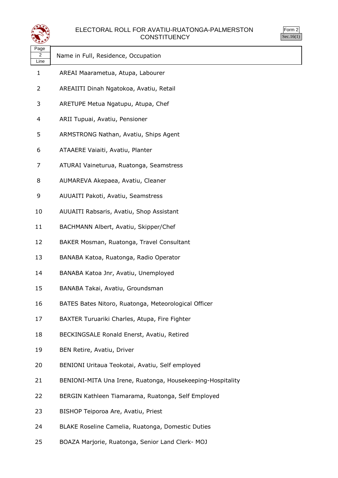



|                   | <b>CONSTITUENCY</b>                                        |
|-------------------|------------------------------------------------------------|
| Page<br>2<br>Line | Name in Full, Residence, Occupation                        |
| 1                 | AREAI Maarametua, Atupa, Labourer                          |
| 2                 | AREAIITI Dinah Ngatokoa, Avatiu, Retail                    |
| 3                 | ARETUPE Metua Ngatupu, Atupa, Chef                         |
| 4                 | ARII Tupuai, Avatiu, Pensioner                             |
| 5                 | ARMSTRONG Nathan, Avatiu, Ships Agent                      |
| 6                 | ATAAERE Vaiaiti, Avatiu, Planter                           |
| 7                 | ATURAI Vaineturua, Ruatonga, Seamstress                    |
| 8                 | AUMAREVA Akepaea, Avatiu, Cleaner                          |
| 9                 | AUUAITI Pakoti, Avatiu, Seamstress                         |
| 10                | AUUAITI Rabsaris, Avatiu, Shop Assistant                   |
| 11                | BACHMANN Albert, Avatiu, Skipper/Chef                      |
| 12                | BAKER Mosman, Ruatonga, Travel Consultant                  |
| 13                | BANABA Katoa, Ruatonga, Radio Operator                     |
| 14                | BANABA Katoa Jnr, Avatiu, Unemployed                       |
| 15                | BANABA Takai, Avatiu, Groundsman                           |
| 16                | BATES Bates Nitoro, Ruatonga, Meteorological Officer       |
| 17                | BAXTER Turuariki Charles, Atupa, Fire Fighter              |
| 18                | BECKINGSALE Ronald Enerst, Avatiu, Retired                 |
| 19                | BEN Retire, Avatiu, Driver                                 |
| 20                | BENIONI Uritaua Teokotai, Avatiu, Self employed            |
| 21                | BENIONI-MITA Una Irene, Ruatonga, Housekeeping-Hospitality |
| 22                | BERGIN Kathleen Tiamarama, Ruatonga, Self Employed         |
| 23                | BISHOP Teiporoa Are, Avatiu, Priest                        |
|                   |                                                            |

- BLAKE Roseline Camelia, Ruatonga, Domestic Duties
- BOAZA Marjorie, Ruatonga, Senior Land Clerk- MOJ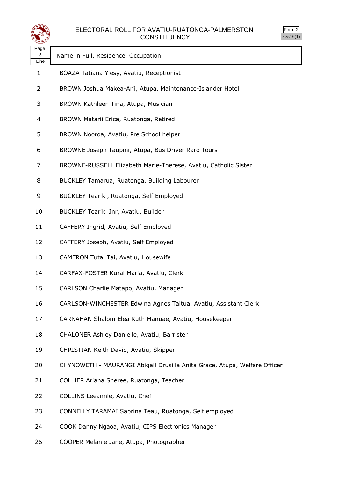



| Page |                                     |
|------|-------------------------------------|
|      | Name in Full, Residence, Occupation |
| Line |                                     |

- BOAZA Tatiana Ylesy, Avatiu, Receptionist
- BROWN Joshua Makea-Arii, Atupa, Maintenance-Islander Hotel
- BROWN Kathleen Tina, Atupa, Musician
- BROWN Matarii Erica, Ruatonga, Retired
- BROWN Nooroa, Avatiu, Pre School helper
- BROWNE Joseph Taupini, Atupa, Bus Driver Raro Tours
- BROWNE-RUSSELL Elizabeth Marie-Therese, Avatiu, Catholic Sister
- BUCKLEY Tamarua, Ruatonga, Building Labourer
- BUCKLEY Teariki, Ruatonga, Self Employed
- BUCKLEY Teariki Jnr, Avatiu, Builder
- CAFFERY Ingrid, Avatiu, Self Employed
- CAFFERY Joseph, Avatiu, Self Employed
- CAMERON Tutai Tai, Avatiu, Housewife
- CARFAX-FOSTER Kurai Maria, Avatiu, Clerk
- CARLSON Charlie Matapo, Avatiu, Manager
- CARLSON-WINCHESTER Edwina Agnes Taitua, Avatiu, Assistant Clerk
- CARNAHAN Shalom Elea Ruth Manuae, Avatiu, Housekeeper
- CHALONER Ashley Danielle, Avatiu, Barrister
- CHRISTIAN Keith David, Avatiu, Skipper
- CHYNOWETH MAURANGI Abigail Drusilla Anita Grace, Atupa, Welfare Officer
- COLLIER Ariana Sheree, Ruatonga, Teacher
- COLLINS Leeannie, Avatiu, Chef
- CONNELLY TARAMAI Sabrina Teau, Ruatonga, Self employed
- COOK Danny Ngaoa, Avatiu, CIPS Electronics Manager
- COOPER Melanie Jane, Atupa, Photographer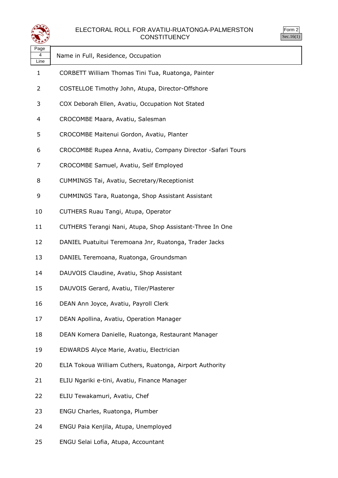



| ∽                 |                                                              |
|-------------------|--------------------------------------------------------------|
| Page<br>4<br>Line | Name in Full, Residence, Occupation                          |
| 1                 | CORBETT William Thomas Tini Tua, Ruatonga, Painter           |
| 2                 | COSTELLOE Timothy John, Atupa, Director-Offshore             |
| 3                 | COX Deborah Ellen, Avatiu, Occupation Not Stated             |
| 4                 | CROCOMBE Maara, Avatiu, Salesman                             |
| 5                 | CROCOMBE Maitenui Gordon, Avatiu, Planter                    |
| 6                 | CROCOMBE Rupea Anna, Avatiu, Company Director - Safari Tours |
| 7                 | CROCOMBE Samuel, Avatiu, Self Employed                       |
| 8                 | CUMMINGS Tai, Avatiu, Secretary/Receptionist                 |
| 9                 | <b>CUMMINGS Tara, Ruatonga, Shop Assistant Assistant</b>     |
| 10                | CUTHERS Ruau Tangi, Atupa, Operator                          |
| 11                | CUTHERS Terangi Nani, Atupa, Shop Assistant-Three In One     |
| 12                | DANIEL Puatuitui Teremoana Jnr, Ruatonga, Trader Jacks       |
| 13                | DANIEL Teremoana, Ruatonga, Groundsman                       |
| 14                | DAUVOIS Claudine, Avatiu, Shop Assistant                     |
| 15                | DAUVOIS Gerard, Avatiu, Tiler/Plasterer                      |
| 16                | DEAN Ann Joyce, Avatiu, Payroll Clerk                        |
| 17                | DEAN Apollina, Avatiu, Operation Manager                     |
| 18                | DEAN Komera Danielle, Ruatonga, Restaurant Manager           |
| 19                | EDWARDS Alyce Marie, Avatiu, Electrician                     |
| 20                | ELIA Tokoua William Cuthers, Ruatonga, Airport Authority     |
| 21                | ELIU Ngariki e-tini, Avatiu, Finance Manager                 |
| 22                | ELIU Tewakamuri, Avatiu, Chef                                |
| 23                | ENGU Charles, Ruatonga, Plumber                              |
| 24                | ENGU Paia Kenjila, Atupa, Unemployed                         |

ENGU Selai Lofia, Atupa, Accountant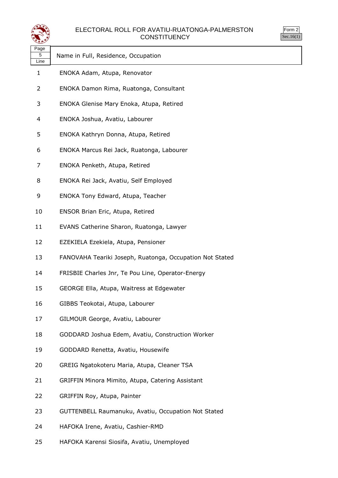



| Page |                                     |
|------|-------------------------------------|
|      | Name in Full, Residence, Occupation |
| Line |                                     |

- ENOKA Adam, Atupa, Renovator
- ENOKA Damon Rima, Ruatonga, Consultant
- ENOKA Glenise Mary Enoka, Atupa, Retired
- ENOKA Joshua, Avatiu, Labourer
- ENOKA Kathryn Donna, Atupa, Retired
- ENOKA Marcus Rei Jack, Ruatonga, Labourer
- ENOKA Penketh, Atupa, Retired
- ENOKA Rei Jack, Avatiu, Self Employed
- ENOKA Tony Edward, Atupa, Teacher
- ENSOR Brian Eric, Atupa, Retired
- EVANS Catherine Sharon, Ruatonga, Lawyer
- EZEKIELA Ezekiela, Atupa, Pensioner
- FANOVAHA Teariki Joseph, Ruatonga, Occupation Not Stated
- FRISBIE Charles Jnr, Te Pou Line, Operator-Energy
- GEORGE Ella, Atupa, Waitress at Edgewater
- GIBBS Teokotai, Atupa, Labourer
- GILMOUR George, Avatiu, Labourer
- GODDARD Joshua Edem, Avatiu, Construction Worker
- GODDARD Renetta, Avatiu, Housewife
- GREIG Ngatokoteru Maria, Atupa, Cleaner TSA
- GRIFFIN Minora Mimito, Atupa, Catering Assistant
- GRIFFIN Roy, Atupa, Painter
- GUTTENBELL Raumanuku, Avatiu, Occupation Not Stated
- HAFOKA Irene, Avatiu, Cashier-RMD
- HAFOKA Karensi Siosifa, Avatiu, Unemployed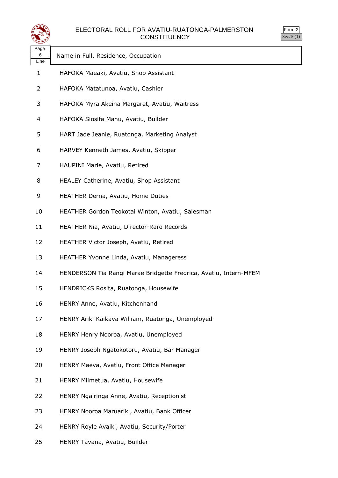



| Page |                                       |
|------|---------------------------------------|
| 6    | Name in Full, Residence, Occupation   |
| Line |                                       |
|      | HAFOKA Maeaki, Avatiu, Shop Assistant |
|      | HAFOKA Matatunoa, Avatiu, Cashier     |

- HAFOKA Myra Akeina Margaret, Avatiu, Waitress
- HAFOKA Siosifa Manu, Avatiu, Builder
- HART Jade Jeanie, Ruatonga, Marketing Analyst
- HARVEY Kenneth James, Avatiu, Skipper
- HAUPINI Marie, Avatiu, Retired
- HEALEY Catherine, Avatiu, Shop Assistant
- HEATHER Derna, Avatiu, Home Duties
- HEATHER Gordon Teokotai Winton, Avatiu, Salesman
- HEATHER Nia, Avatiu, Director-Raro Records
- HEATHER Victor Joseph, Avatiu, Retired
- HEATHER Yvonne Linda, Avatiu, Manageress
- HENDERSON Tia Rangi Marae Bridgette Fredrica, Avatiu, Intern-MFEM
- HENDRICKS Rosita, Ruatonga, Housewife
- HENRY Anne, Avatiu, Kitchenhand
- HENRY Ariki Kaikava William, Ruatonga, Unemployed
- HENRY Henry Nooroa, Avatiu, Unemployed
- HENRY Joseph Ngatokotoru, Avatiu, Bar Manager
- HENRY Maeva, Avatiu, Front Office Manager
- HENRY Miimetua, Avatiu, Housewife
- HENRY Ngairinga Anne, Avatiu, Receptionist
- HENRY Nooroa Maruariki, Avatiu, Bank Officer
- HENRY Royle Avaiki, Avatiu, Security/Porter
- HENRY Tavana, Avatiu, Builder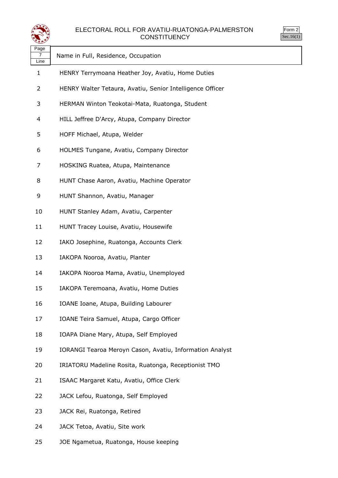



| خفقه                           |                                                                 |
|--------------------------------|-----------------------------------------------------------------|
| Page<br>$\overline{7}$<br>Line | Name in Full, Residence, Occupation                             |
| 1                              | HENRY Terrymoana Heather Joy, Avatiu, Home Duties               |
| 2                              | HENRY Walter Tetaura, Avatiu, Senior Intelligence Officer       |
| 3                              | HERMAN Winton Teokotai-Mata, Ruatonga, Student                  |
| 4                              | HILL Jeffree D'Arcy, Atupa, Company Director                    |
| 5                              | HOFF Michael, Atupa, Welder                                     |
| 6                              | HOLMES Tungane, Avatiu, Company Director                        |
| 7                              | HOSKING Ruatea, Atupa, Maintenance                              |
| 8                              | HUNT Chase Aaron, Avatiu, Machine Operator                      |
| 9                              | HUNT Shannon, Avatiu, Manager                                   |
| 10                             | HUNT Stanley Adam, Avatiu, Carpenter                            |
| 11                             | HUNT Tracey Louise, Avatiu, Housewife                           |
| 12                             | IAKO Josephine, Ruatonga, Accounts Clerk                        |
| 13                             | IAKOPA Nooroa, Avatiu, Planter                                  |
| 14                             | IAKOPA Nooroa Mama, Avatiu, Unemployed                          |
| 15                             | IAKOPA Teremoana, Avatiu, Home Duties                           |
| 16                             | IOANE Ioane, Atupa, Building Labourer                           |
| 17                             | IOANE Teira Samuel, Atupa, Cargo Officer                        |
| 18                             | IOAPA Diane Mary, Atupa, Self Employed                          |
| 19                             | <b>IORANGI Tearoa Meroyn Cason, Avatiu, Information Analyst</b> |
| 20                             | IRIATORU Madeline Rosita, Ruatonga, Receptionist TMO            |
| 21                             | ISAAC Margaret Katu, Avatiu, Office Clerk                       |
| 22                             | JACK Lefou, Ruatonga, Self Employed                             |
| 23                             | JACK Rei, Ruatonga, Retired                                     |
| 24                             | JACK Tetoa, Avatiu, Site work                                   |

JOE Ngametua, Ruatonga, House keeping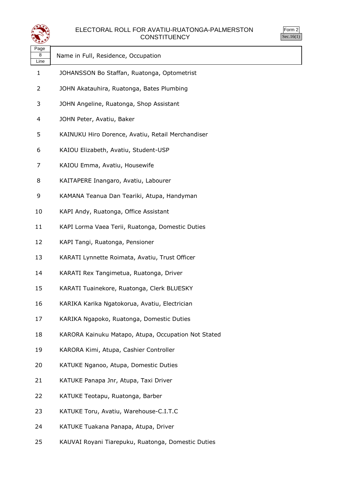



| Page |                                     |
|------|-------------------------------------|
|      | Name in Full, Residence, Occupation |
| Line |                                     |

- JOHANSSON Bo Staffan, Ruatonga, Optometrist
- JOHN Akatauhira, Ruatonga, Bates Plumbing
- JOHN Angeline, Ruatonga, Shop Assistant
- JOHN Peter, Avatiu, Baker
- KAINUKU Hiro Dorence, Avatiu, Retail Merchandiser
- KAIOU Elizabeth, Avatiu, Student-USP
- KAIOU Emma, Avatiu, Housewife
- KAITAPERE Inangaro, Avatiu, Labourer
- KAMANA Teanua Dan Teariki, Atupa, Handyman
- KAPI Andy, Ruatonga, Office Assistant
- KAPI Lorma Vaea Terii, Ruatonga, Domestic Duties
- KAPI Tangi, Ruatonga, Pensioner
- KARATI Lynnette Roimata, Avatiu, Trust Officer
- KARATI Rex Tangimetua, Ruatonga, Driver
- KARATI Tuainekore, Ruatonga, Clerk BLUESKY
- KARIKA Karika Ngatokorua, Avatiu, Electrician
- KARIKA Ngapoko, Ruatonga, Domestic Duties
- KARORA Kainuku Matapo, Atupa, Occupation Not Stated
- KARORA Kimi, Atupa, Cashier Controller
- KATUKE Nganoo, Atupa, Domestic Duties
- KATUKE Panapa Jnr, Atupa, Taxi Driver
- KATUKE Teotapu, Ruatonga, Barber
- KATUKE Toru, Avatiu, Warehouse-C.I.T.C
- KATUKE Tuakana Panapa, Atupa, Driver
- KAUVAI Royani Tiarepuku, Ruatonga, Domestic Duties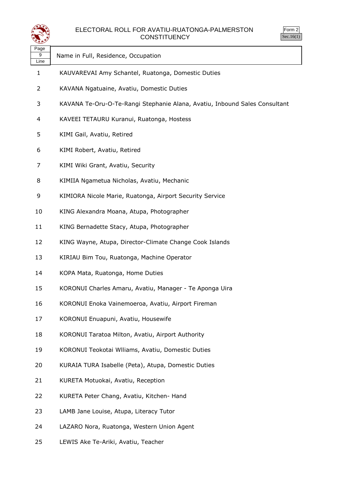



|                   | <b>CONSTITUENCY</b><br>Sec.1                                               |
|-------------------|----------------------------------------------------------------------------|
| Page<br>9<br>Line | Name in Full, Residence, Occupation                                        |
| $\mathbf{1}$      | KAUVAREVAI Amy Schantel, Ruatonga, Domestic Duties                         |
| 2                 | KAVANA Ngatuaine, Avatiu, Domestic Duties                                  |
| 3                 | KAVANA Te-Oru-O-Te-Rangi Stephanie Alana, Avatiu, Inbound Sales Consultant |
| 4                 | KAVEEI TETAURU Kuranui, Ruatonga, Hostess                                  |
| 5                 | KIMI Gail, Avatiu, Retired                                                 |
| 6                 | KIMI Robert, Avatiu, Retired                                               |
| 7                 | KIMI Wiki Grant, Avatiu, Security                                          |
| 8                 | KIMIIA Ngametua Nicholas, Avatiu, Mechanic                                 |
| 9                 | KIMIORA Nicole Marie, Ruatonga, Airport Security Service                   |
| 10                | KING Alexandra Moana, Atupa, Photographer                                  |
| 11                | KING Bernadette Stacy, Atupa, Photographer                                 |
| 12                | KING Wayne, Atupa, Director-Climate Change Cook Islands                    |
| 13                | KIRIAU Bim Tou, Ruatonga, Machine Operator                                 |
| 14                | KOPA Mata, Ruatonga, Home Duties                                           |
| 15                | KORONUI Charles Amaru, Avatiu, Manager - Te Aponga Uira                    |
| 16                | KORONUI Enoka Vainemoeroa, Avatiu, Airport Fireman                         |
| 17                | KORONUI Enuapuni, Avatiu, Housewife                                        |
| 18                | KORONUI Taratoa Milton, Avatiu, Airport Authority                          |
| 19                | KORONUI Teokotai Wiliams, Avatiu, Domestic Duties                          |
| 20                | KURAIA TURA Isabelle (Peta), Atupa, Domestic Duties                        |
| 21                | KURETA Motuokai, Avatiu, Reception                                         |
| 22                | KURETA Peter Chang, Avatiu, Kitchen- Hand                                  |
| 23                | LAMB Jane Louise, Atupa, Literacy Tutor                                    |
| 24                | LAZARO Nora, Ruatonga, Western Union Agent                                 |
|                   |                                                                            |

LEWIS Ake Te-Ariki, Avatiu, Teacher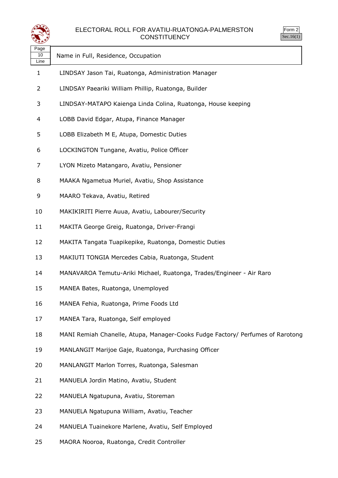



| Page<br>10<br>Line | Name in Full, Residence, Occupation                                            |
|--------------------|--------------------------------------------------------------------------------|
| 1                  | LINDSAY Jason Tai, Ruatonga, Administration Manager                            |
| 2                  | LINDSAY Paeariki William Phillip, Ruatonga, Builder                            |
| 3                  | LINDSAY-MATAPO Kaienga Linda Colina, Ruatonga, House keeping                   |
| 4                  | LOBB David Edgar, Atupa, Finance Manager                                       |
| 5                  | LOBB Elizabeth M E, Atupa, Domestic Duties                                     |
| 6                  | LOCKINGTON Tungane, Avatiu, Police Officer                                     |
| 7                  | LYON Mizeto Matangaro, Avatiu, Pensioner                                       |
| 8                  | MAAKA Ngametua Muriel, Avatiu, Shop Assistance                                 |
| 9                  | MAARO Tekava, Avatiu, Retired                                                  |
| 10                 | MAKIKIRITI Pierre Auua, Avatiu, Labourer/Security                              |
| 11                 | MAKITA George Greig, Ruatonga, Driver-Frangi                                   |
| 12                 | MAKITA Tangata Tuapikepike, Ruatonga, Domestic Duties                          |
| 13                 | MAKIUTI TONGIA Mercedes Cabia, Ruatonga, Student                               |
| 14                 | MANAVAROA Temutu-Ariki Michael, Ruatonga, Trades/Engineer - Air Raro           |
| 15                 | MANEA Bates, Ruatonga, Unemployed                                              |
| 16                 | MANEA Fehia, Ruatonga, Prime Foods Ltd                                         |
| 17                 | MANEA Tara, Ruatonga, Self employed                                            |
| 18                 | MANI Remiah Chanelle, Atupa, Manager-Cooks Fudge Factory/ Perfumes of Rarotong |
| 19                 | MANLANGIT Marijoe Gaje, Ruatonga, Purchasing Officer                           |
| 20                 | MANLANGIT Marlon Torres, Ruatonga, Salesman                                    |
| 21                 | MANUELA Jordin Matino, Avatiu, Student                                         |
| 22                 | MANUELA Ngatupuna, Avatiu, Storeman                                            |
| 23                 | MANUELA Ngatupuna William, Avatiu, Teacher                                     |
| 24                 | MANUELA Tuainekore Marlene, Avatiu, Self Employed                              |
| 25                 | MAORA Nooroa, Ruatonga, Credit Controller                                      |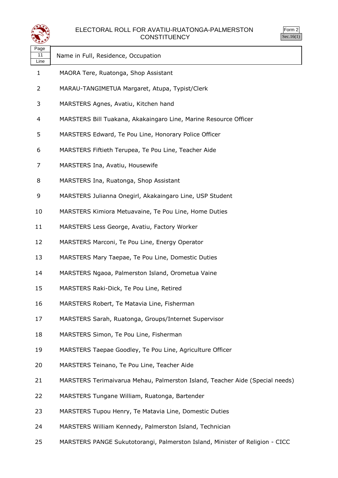



| Page |                                     |
|------|-------------------------------------|
| 11   | Name in Full, Residence, Occupation |
| Line |                                     |

- MAORA Tere, Ruatonga, Shop Assistant
- MARAU-TANGIMETUA Margaret, Atupa, Typist/Clerk
- MARSTERS Agnes, Avatiu, Kitchen hand
- MARSTERS Bill Tuakana, Akakaingaro Line, Marine Resource Officer
- MARSTERS Edward, Te Pou Line, Honorary Police Officer
- MARSTERS Fiftieth Terupea, Te Pou Line, Teacher Aide
- MARSTERS Ina, Avatiu, Housewife
- MARSTERS Ina, Ruatonga, Shop Assistant
- MARSTERS Julianna Onegirl, Akakaingaro Line, USP Student
- MARSTERS Kimiora Metuavaine, Te Pou Line, Home Duties
- MARSTERS Less George, Avatiu, Factory Worker
- MARSTERS Marconi, Te Pou Line, Energy Operator
- MARSTERS Mary Taepae, Te Pou Line, Domestic Duties
- MARSTERS Ngaoa, Palmerston Island, Orometua Vaine
- MARSTERS Raki-Dick, Te Pou Line, Retired
- MARSTERS Robert, Te Matavia Line, Fisherman
- MARSTERS Sarah, Ruatonga, Groups/Internet Supervisor
- MARSTERS Simon, Te Pou Line, Fisherman
- MARSTERS Taepae Goodley, Te Pou Line, Agriculture Officer
- MARSTERS Teinano, Te Pou Line, Teacher Aide
- MARSTERS Terimaivarua Mehau, Palmerston Island, Teacher Aide (Special needs)
- MARSTERS Tungane William, Ruatonga, Bartender
- MARSTERS Tupou Henry, Te Matavia Line, Domestic Duties
- MARSTERS William Kennedy, Palmerston Island, Technician
- MARSTERS PANGE Sukutotorangi, Palmerston Island, Minister of Religion CICC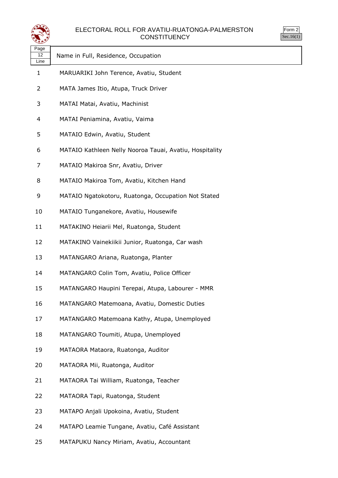



| Page |                                                     |
|------|-----------------------------------------------------|
|      | <sup>12</sup> J Name in Full, Residence, Occupation |
| Line |                                                     |

- MARUARIKI John Terence, Avatiu, Student
- MATA James Itio, Atupa, Truck Driver
- MATAI Matai, Avatiu, Machinist
- MATAI Peniamina, Avatiu, Vaima
- MATAIO Edwin, Avatiu, Student
- MATAIO Kathleen Nelly Nooroa Tauai, Avatiu, Hospitality
- MATAIO Makiroa Snr, Avatiu, Driver
- MATAIO Makiroa Tom, Avatiu, Kitchen Hand
- MATAIO Ngatokotoru, Ruatonga, Occupation Not Stated
- MATAIO Tunganekore, Avatiu, Housewife
- MATAKINO Heiarii Mel, Ruatonga, Student
- MATAKINO Vainekiikii Junior, Ruatonga, Car wash
- MATANGARO Ariana, Ruatonga, Planter
- MATANGARO Colin Tom, Avatiu, Police Officer
- MATANGARO Haupini Terepai, Atupa, Labourer MMR
- MATANGARO Matemoana, Avatiu, Domestic Duties
- MATANGARO Matemoana Kathy, Atupa, Unemployed
- MATANGARO Toumiti, Atupa, Unemployed
- MATAORA Mataora, Ruatonga, Auditor
- MATAORA Mii, Ruatonga, Auditor
- MATAORA Tai William, Ruatonga, Teacher
- MATAORA Tapi, Ruatonga, Student
- MATAPO Anjali Upokoina, Avatiu, Student
- MATAPO Leamie Tungane, Avatiu, Café Assistant
- MATAPUKU Nancy Miriam, Avatiu, Accountant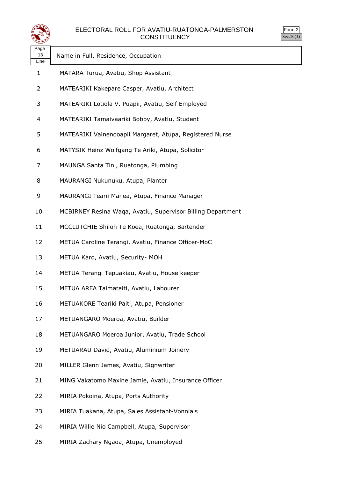



| MATARA Turua, Avatiu, Shop Assistant<br>1<br>MATEARIKI Kakepare Casper, Avatiu, Architect<br>2<br>3<br>MATEARIKI Lotiola V. Puapii, Avatiu, Self Employed<br>MATEARIKI Tamaivaariki Bobby, Avatiu, Student<br>4<br>5<br>MATEARIKI Vainenooapii Margaret, Atupa, Registered Nurse<br>MATYSIK Heinz Wolfgang Te Ariki, Atupa, Solicitor<br>6<br>MAUNGA Santa Tini, Ruatonga, Plumbing<br>7<br>MAURANGI Nukunuku, Atupa, Planter<br>8<br>MAURANGI Tearii Manea, Atupa, Finance Manager<br>9<br>10<br>MCBIRNEY Resina Waqa, Avatiu, Supervisor Billing Department<br>11<br>MCCLUTCHIE Shiloh Te Koea, Ruatonga, Bartender<br>12<br>METUA Caroline Terangi, Avatiu, Finance Officer-MoC<br>13<br>METUA Karo, Avatiu, Security- MOH<br>14<br>METUA Terangi Tepuakiau, Avatiu, House keeper<br>15<br>METUA AREA Taimataiti, Avatiu, Labourer<br>16<br>METUAKORE Teariki Paiti, Atupa, Pensioner<br>17<br>METUANGARO Moeroa, Avatiu, Builder<br>18<br>METUANGARO Moeroa Junior, Avatiu, Trade School<br>19<br>METUARAU David, Avatiu, Aluminium Joinery<br>20<br>MILLER Glenn James, Avatiu, Signwriter<br>21<br>MING Vakatomo Maxine Jamie, Avatiu, Insurance Officer<br>22<br>MIRIA Pokoina, Atupa, Ports Authority<br>MIRIA Tuakana, Atupa, Sales Assistant-Vonnia's<br>23<br>MIRIA Willie Nio Campbell, Atupa, Supervisor<br>24 | Page<br>13<br>Line | Name in Full, Residence, Occupation |
|-----------------------------------------------------------------------------------------------------------------------------------------------------------------------------------------------------------------------------------------------------------------------------------------------------------------------------------------------------------------------------------------------------------------------------------------------------------------------------------------------------------------------------------------------------------------------------------------------------------------------------------------------------------------------------------------------------------------------------------------------------------------------------------------------------------------------------------------------------------------------------------------------------------------------------------------------------------------------------------------------------------------------------------------------------------------------------------------------------------------------------------------------------------------------------------------------------------------------------------------------------------------------------------------------------------------------------|--------------------|-------------------------------------|
|                                                                                                                                                                                                                                                                                                                                                                                                                                                                                                                                                                                                                                                                                                                                                                                                                                                                                                                                                                                                                                                                                                                                                                                                                                                                                                                             |                    |                                     |
|                                                                                                                                                                                                                                                                                                                                                                                                                                                                                                                                                                                                                                                                                                                                                                                                                                                                                                                                                                                                                                                                                                                                                                                                                                                                                                                             |                    |                                     |
|                                                                                                                                                                                                                                                                                                                                                                                                                                                                                                                                                                                                                                                                                                                                                                                                                                                                                                                                                                                                                                                                                                                                                                                                                                                                                                                             |                    |                                     |
|                                                                                                                                                                                                                                                                                                                                                                                                                                                                                                                                                                                                                                                                                                                                                                                                                                                                                                                                                                                                                                                                                                                                                                                                                                                                                                                             |                    |                                     |
|                                                                                                                                                                                                                                                                                                                                                                                                                                                                                                                                                                                                                                                                                                                                                                                                                                                                                                                                                                                                                                                                                                                                                                                                                                                                                                                             |                    |                                     |
|                                                                                                                                                                                                                                                                                                                                                                                                                                                                                                                                                                                                                                                                                                                                                                                                                                                                                                                                                                                                                                                                                                                                                                                                                                                                                                                             |                    |                                     |
|                                                                                                                                                                                                                                                                                                                                                                                                                                                                                                                                                                                                                                                                                                                                                                                                                                                                                                                                                                                                                                                                                                                                                                                                                                                                                                                             |                    |                                     |
|                                                                                                                                                                                                                                                                                                                                                                                                                                                                                                                                                                                                                                                                                                                                                                                                                                                                                                                                                                                                                                                                                                                                                                                                                                                                                                                             |                    |                                     |
|                                                                                                                                                                                                                                                                                                                                                                                                                                                                                                                                                                                                                                                                                                                                                                                                                                                                                                                                                                                                                                                                                                                                                                                                                                                                                                                             |                    |                                     |
|                                                                                                                                                                                                                                                                                                                                                                                                                                                                                                                                                                                                                                                                                                                                                                                                                                                                                                                                                                                                                                                                                                                                                                                                                                                                                                                             |                    |                                     |
|                                                                                                                                                                                                                                                                                                                                                                                                                                                                                                                                                                                                                                                                                                                                                                                                                                                                                                                                                                                                                                                                                                                                                                                                                                                                                                                             |                    |                                     |
|                                                                                                                                                                                                                                                                                                                                                                                                                                                                                                                                                                                                                                                                                                                                                                                                                                                                                                                                                                                                                                                                                                                                                                                                                                                                                                                             |                    |                                     |
|                                                                                                                                                                                                                                                                                                                                                                                                                                                                                                                                                                                                                                                                                                                                                                                                                                                                                                                                                                                                                                                                                                                                                                                                                                                                                                                             |                    |                                     |
|                                                                                                                                                                                                                                                                                                                                                                                                                                                                                                                                                                                                                                                                                                                                                                                                                                                                                                                                                                                                                                                                                                                                                                                                                                                                                                                             |                    |                                     |
|                                                                                                                                                                                                                                                                                                                                                                                                                                                                                                                                                                                                                                                                                                                                                                                                                                                                                                                                                                                                                                                                                                                                                                                                                                                                                                                             |                    |                                     |
|                                                                                                                                                                                                                                                                                                                                                                                                                                                                                                                                                                                                                                                                                                                                                                                                                                                                                                                                                                                                                                                                                                                                                                                                                                                                                                                             |                    |                                     |
|                                                                                                                                                                                                                                                                                                                                                                                                                                                                                                                                                                                                                                                                                                                                                                                                                                                                                                                                                                                                                                                                                                                                                                                                                                                                                                                             |                    |                                     |
|                                                                                                                                                                                                                                                                                                                                                                                                                                                                                                                                                                                                                                                                                                                                                                                                                                                                                                                                                                                                                                                                                                                                                                                                                                                                                                                             |                    |                                     |
|                                                                                                                                                                                                                                                                                                                                                                                                                                                                                                                                                                                                                                                                                                                                                                                                                                                                                                                                                                                                                                                                                                                                                                                                                                                                                                                             |                    |                                     |
|                                                                                                                                                                                                                                                                                                                                                                                                                                                                                                                                                                                                                                                                                                                                                                                                                                                                                                                                                                                                                                                                                                                                                                                                                                                                                                                             |                    |                                     |
|                                                                                                                                                                                                                                                                                                                                                                                                                                                                                                                                                                                                                                                                                                                                                                                                                                                                                                                                                                                                                                                                                                                                                                                                                                                                                                                             |                    |                                     |
|                                                                                                                                                                                                                                                                                                                                                                                                                                                                                                                                                                                                                                                                                                                                                                                                                                                                                                                                                                                                                                                                                                                                                                                                                                                                                                                             |                    |                                     |
|                                                                                                                                                                                                                                                                                                                                                                                                                                                                                                                                                                                                                                                                                                                                                                                                                                                                                                                                                                                                                                                                                                                                                                                                                                                                                                                             |                    |                                     |
|                                                                                                                                                                                                                                                                                                                                                                                                                                                                                                                                                                                                                                                                                                                                                                                                                                                                                                                                                                                                                                                                                                                                                                                                                                                                                                                             |                    |                                     |

MIRIA Zachary Ngaoa, Atupa, Unemployed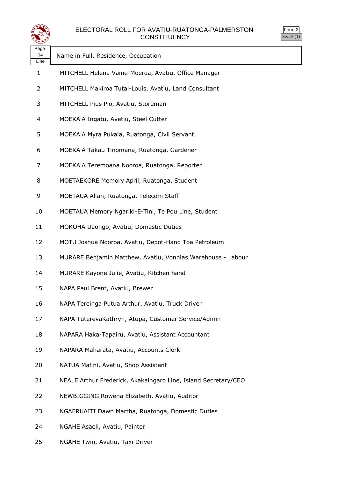



| Page<br>14<br>Line | Name in Full, Residence, Occupation                            |
|--------------------|----------------------------------------------------------------|
| 1                  | MITCHELL Helena Vaine-Moeroa, Avatiu, Office Manager           |
| 2                  | MITCHELL Makiroa Tutai-Louis, Avatiu, Land Consultant          |
| 3                  | MITCHELL Pius Pio, Avatiu, Storeman                            |
| 4                  | MOEKA'A Ingatu, Avatiu, Steel Cutter                           |
| 5                  | MOEKA'A Myra Pukaia, Ruatonga, Civil Servant                   |
| 6                  | MOEKA'A Takau Tinomana, Ruatonga, Gardener                     |
| 7                  | MOEKA'A Teremoana Nooroa, Ruatonga, Reporter                   |
| 8                  | MOETAEKORE Memory April, Ruatonga, Student                     |
| 9                  | MOETAUA Allan, Ruatonga, Telecom Staff                         |
| 10                 | MOETAUA Memory Ngariki-E-Tini, Te Pou Line, Student            |
| 11                 | MOKOHA Uaongo, Avatiu, Domestic Duties                         |
| 12                 | MOTU Joshua Nooroa, Avatiu, Depot-Hand Toa Petroleum           |
| 13                 | MURARE Benjamin Matthew, Avatiu, Vonnias Warehouse - Labour    |
| 14                 | MURARE Kayone Julie, Avatiu, Kitchen hand                      |
| 15                 | NAPA Paul Brent, Avatiu, Brewer                                |
| 16                 | NAPA Tereinga Putua Arthur, Avatiu, Truck Driver               |
| 17                 | NAPA TuterevaKathryn, Atupa, Customer Service/Admin            |
| 18                 | NAPARA Haka-Tapairu, Avatiu, Assistant Accountant              |
| 19                 | NAPARA Maharata, Avatiu, Accounts Clerk                        |
| 20                 | NATUA Mafini, Avatiu, Shop Assistant                           |
| 21                 | NEALE Arthur Frederick, Akakaingaro Line, Island Secretary/CEO |
| 22                 | NEWBIGGING Rowena Elizabeth, Avatiu, Auditor                   |
| 23                 | NGAERUAITI Dawn Martha, Ruatonga, Domestic Duties              |
| 24                 | NGAHE Asaeli, Avatiu, Painter                                  |

NGAHE Twin, Avatiu, Taxi Driver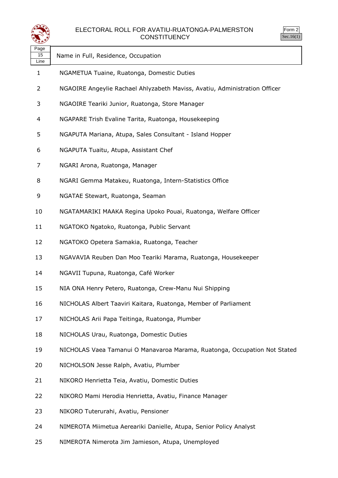



| Page<br>15<br>Line | Name in Full, Residence, Occupation                                        |
|--------------------|----------------------------------------------------------------------------|
| $\mathbf{1}$       | NGAMETUA Tuaine, Ruatonga, Domestic Duties                                 |
| $\overline{2}$     | NGAOIRE Angeylie Rachael Ahlyzabeth Maviss, Avatiu, Administration Officer |
| 3                  | NGAOIRE Teariki Junior, Ruatonga, Store Manager                            |
| 4                  | NGAPARE Trish Evaline Tarita, Ruatonga, Housekeeping                       |
| 5                  | NGAPUTA Mariana, Atupa, Sales Consultant - Island Hopper                   |
| 6                  | NGAPUTA Tuaitu, Atupa, Assistant Chef                                      |
| 7                  | NGARI Arona, Ruatonga, Manager                                             |
| 8                  | NGARI Gemma Matakeu, Ruatonga, Intern-Statistics Office                    |
| 9                  | NGATAE Stewart, Ruatonga, Seaman                                           |
| 10                 | NGATAMARIKI MAAKA Regina Upoko Pouai, Ruatonga, Welfare Officer            |
| 11                 | NGATOKO Ngatoko, Ruatonga, Public Servant                                  |
| 12                 | NGATOKO Opetera Samakia, Ruatonga, Teacher                                 |
| 13                 | NGAVAVIA Reuben Dan Moo Teariki Marama, Ruatonga, Housekeeper              |
| 14                 | NGAVII Tupuna, Ruatonga, Café Worker                                       |
| 15                 | NIA ONA Henry Petero, Ruatonga, Crew-Manu Nui Shipping                     |
| 16                 | NICHOLAS Albert Taaviri Kaitara, Ruatonga, Member of Parliament            |
| 17                 | NICHOLAS Arii Papa Teitinga, Ruatonga, Plumber                             |
| 18                 | NICHOLAS Urau, Ruatonga, Domestic Duties                                   |
| 19                 | NICHOLAS Vaea Tamanui O Manavaroa Marama, Ruatonga, Occupation Not Stated  |
| 20                 | NICHOLSON Jesse Ralph, Avatiu, Plumber                                     |
| 21                 | NIKORO Henrietta Teia, Avatiu, Domestic Duties                             |
| 22                 | NIKORO Mami Herodia Henrietta, Avatiu, Finance Manager                     |
| 23                 | NIKORO Tuterurahi, Avatiu, Pensioner                                       |
| 24                 | NIMEROTA Miimetua Aereariki Danielle, Atupa, Senior Policy Analyst         |

NIMEROTA Nimerota Jim Jamieson, Atupa, Unemployed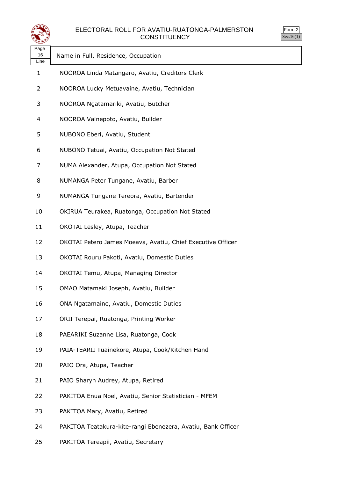



| Page<br>16<br>Line | Name in Full, Residence, Occupation                          |
|--------------------|--------------------------------------------------------------|
| 1                  | NOOROA Linda Matangaro, Avatiu, Creditors Clerk              |
| 2                  | NOOROA Lucky Metuavaine, Avatiu, Technician                  |
| 3                  | NOOROA Ngatamariki, Avatiu, Butcher                          |
| 4                  | NOOROA Vainepoto, Avatiu, Builder                            |
| 5                  | NUBONO Eberi, Avatiu, Student                                |
| 6                  | NUBONO Tetuai, Avatiu, Occupation Not Stated                 |
| 7                  | NUMA Alexander, Atupa, Occupation Not Stated                 |
| 8                  | NUMANGA Peter Tungane, Avatiu, Barber                        |
| 9                  | NUMANGA Tungane Tereora, Avatiu, Bartender                   |
| 10                 | OKIRUA Teurakea, Ruatonga, Occupation Not Stated             |
| 11                 | OKOTAI Lesley, Atupa, Teacher                                |
| 12                 | OKOTAI Petero James Moeava, Avatiu, Chief Executive Officer  |
| 13                 | OKOTAI Rouru Pakoti, Avatiu, Domestic Duties                 |
| 14                 | OKOTAI Temu, Atupa, Managing Director                        |
| 15                 | OMAO Matamaki Joseph, Avatiu, Builder                        |
| 16                 | ONA Ngatamaine, Avatiu, Domestic Duties                      |
| 17                 | ORII Terepai, Ruatonga, Printing Worker                      |
| 18                 | PAEARIKI Suzanne Lisa, Ruatonga, Cook                        |
| 19                 | PAIA-TEARII Tuainekore, Atupa, Cook/Kitchen Hand             |
| 20                 | PAIO Ora, Atupa, Teacher                                     |
| 21                 | PAIO Sharyn Audrey, Atupa, Retired                           |
| 22                 | PAKITOA Enua Noel, Avatiu, Senior Statistician - MFEM        |
| 23                 | PAKITOA Mary, Avatiu, Retired                                |
| 24                 | PAKITOA Teatakura-kite-rangi Ebenezera, Avatiu, Bank Officer |

PAKITOA Tereapii, Avatiu, Secretary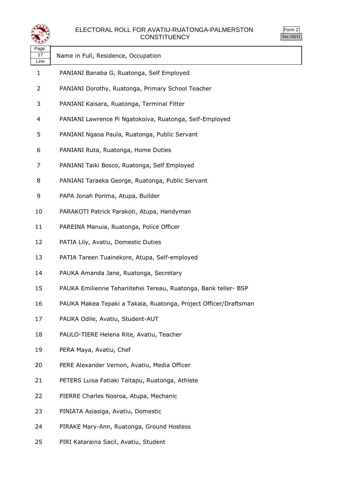



| 17<br>Line | Name in Full, Residence, Occupation                              |
|------------|------------------------------------------------------------------|
| 1          | PANIANI Banaba G, Ruatonga, Self Employed                        |
| 2          | PANIANI Dorothy, Ruatonga, Primary School Teacher                |
| 3          | PANIANI Kaisara, Ruatonga, Terminal Fitter                       |
| 4          | PANIANI Lawrence Pi Ngatokoiva, Ruatonga, Self-Employed          |
| 5          | PANIANI Ngaoa Paula, Ruatonga, Public Servant                    |
| 6          | PANIANI Ruta, Ruatonga, Home Duties                              |
| 7          | PANIANI Taiki Bosco, Ruatonga, Self Employed                     |
| 8          | PANIANI Taraeka George, Ruatonga, Public Servant                 |
| 9          | PAPA Jonah Porima, Atupa, Builder                                |
| 10         | PARAKOTI Patrick Parakoti, Atupa, Handyman                       |
| 11         | PAREINA Manuia, Ruatonga, Police Officer                         |
| 12         | PATIA Lily, Avatiu, Domestic Duties                              |
| 13         | PATIA Tareen Tuainekore, Atupa, Self-employed                    |
| 14         | PAUKA Amanda Jane, Ruatonga, Secretary                           |
| 15         | PAUKA Emilienne Tehariitehei Tereau, Ruatonga, Bank teller- BSP  |
| 16         | PAUKA Makea Tepaki a Takaia, Ruatonga, Project Officer/Draftsman |
| 17         | PAUKA Odile, Avatiu, Student-AUT                                 |
| 18         | PAULO-TIERE Helena Rite, Avatiu, Teacher                         |
| 19         | PERA Maya, Avatiu, Chef                                          |
| 20         | PERE Alexander Vernon, Avatiu, Media Officer                     |
| 21         | PETERS Luisa Fatiaki Taitapu, Ruatonga, Athlete                  |
| 22         | PIERRE Charles Nooroa, Atupa, Mechanic                           |
| 23         | PINIATA Asiasiga, Avatiu, Domestic                               |

- PIRAKE Mary-Ann, Ruatonga, Ground Hostess
- PIRI Kataraina Sacil, Avatiu, Student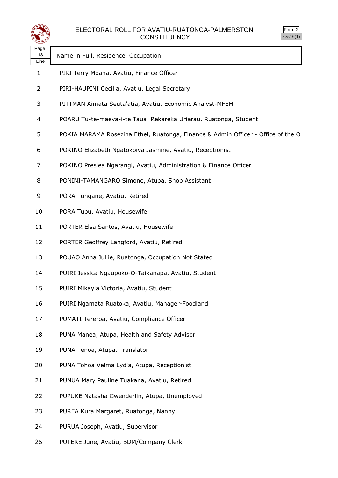



| Page<br>18<br>Line | Name in Full, Residence, Occupation                                              |
|--------------------|----------------------------------------------------------------------------------|
| 1                  | PIRI Terry Moana, Avatiu, Finance Officer                                        |
| 2                  | PIRI-HAUPINI Cecilia, Avatiu, Legal Secretary                                    |
| 3                  | PITTMAN Aimata Seuta'atia, Avatiu, Economic Analyst-MFEM                         |
| 4                  | POARU Tu-te-maeva-i-te Taua Rekareka Uriarau, Ruatonga, Student                  |
| 5                  | POKIA MARAMA Rosezina Ethel, Ruatonga, Finance & Admin Officer - Office of the O |
| 6                  | POKINO Elizabeth Ngatokoiva Jasmine, Avatiu, Receptionist                        |
| 7                  | POKINO Preslea Ngarangi, Avatiu, Administration & Finance Officer                |
| 8                  | PONINI-TAMANGARO Simone, Atupa, Shop Assistant                                   |
| 9                  | PORA Tungane, Avatiu, Retired                                                    |
| 10                 | PORA Tupu, Avatiu, Housewife                                                     |
| 11                 | PORTER Elsa Santos, Avatiu, Housewife                                            |
| 12                 | PORTER Geoffrey Langford, Avatiu, Retired                                        |
| 13                 | POUAO Anna Jullie, Ruatonga, Occupation Not Stated                               |
| 14                 | PUIRI Jessica Ngaupoko-O-Taikanapa, Avatiu, Student                              |
| 15                 | PUIRI Mikayla Victoria, Avatiu, Student                                          |
| 16                 | PUIRI Ngamata Ruatoka, Avatiu, Manager-Foodland                                  |
| 17                 | PUMATI Tereroa, Avatiu, Compliance Officer                                       |
| 18                 | PUNA Manea, Atupa, Health and Safety Advisor                                     |
| 19                 | PUNA Tenoa, Atupa, Translator                                                    |
| 20                 | PUNA Tohoa Velma Lydia, Atupa, Receptionist                                      |
| 21                 | PUNUA Mary Pauline Tuakana, Avatiu, Retired                                      |
| 22                 | PUPUKE Natasha Gwenderlin, Atupa, Unemployed                                     |
| 23                 | PUREA Kura Margaret, Ruatonga, Nanny                                             |
| 24                 | PURUA Joseph, Avatiu, Supervisor                                                 |

PUTERE June, Avatiu, BDM/Company Clerk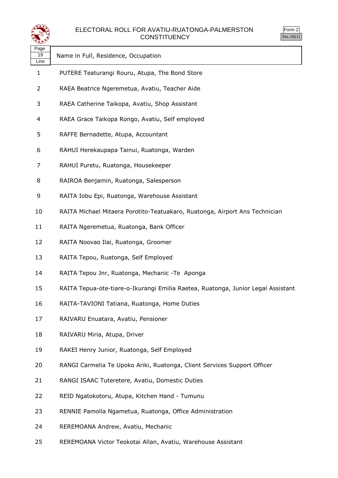



| Page<br>19<br>Line | Name in Full, Residence, Occupation                                              |
|--------------------|----------------------------------------------------------------------------------|
| 1                  | PUTERE Teaturangi Rouru, Atupa, The Bond Store                                   |
| 2                  | RAEA Beatrice Ngeremetua, Avatiu, Teacher Aide                                   |
| 3                  | RAEA Catherine Taikopa, Avatiu, Shop Assistant                                   |
| 4                  | RAEA Grace Taikopa Rongo, Avatiu, Self employed                                  |
| 5                  | RAFFE Bernadette, Atupa, Accountant                                              |
| 6                  | RAHUI Herekaupapa Tainui, Ruatonga, Warden                                       |
| 7                  | RAHUI Puretu, Ruatonga, Housekeeper                                              |
| 8                  | RAIROA Benjamin, Ruatonga, Salesperson                                           |
| 9                  | RAITA Iobu Epi, Ruatonga, Warehouse Assistant                                    |
| 10                 | RAITA Michael Mitaera Porotito-Teatuakaro, Ruatonga, Airport Ans Technician      |
| 11                 | RAITA Ngeremetua, Ruatonga, Bank Officer                                         |
| 12                 | RAITA Noovao Ilai, Ruatonga, Groomer                                             |
| 13                 | RAITA Tepou, Ruatonga, Self Employed                                             |
| 14                 | RAITA Tepou Jnr, Ruatonga, Mechanic - Te Aponga                                  |
| 15                 | RAITA Tepua-ote-tiare-o-Ikurangi Emilia Raetea, Ruatonga, Junior Legal Assistant |
| 16                 | RAITA-TAVIONI Tatiana, Ruatonga, Home Duties                                     |
| 17                 | RAIVARU Enuatara, Avatiu, Pensioner                                              |
| 18                 | RAIVARU Miria, Atupa, Driver                                                     |
| 19                 | RAKEI Henry Junior, Ruatonga, Self Employed                                      |
| 20                 | RANGI Carmelia Te Upoko Ariki, Ruatonga, Client Services Support Officer         |
| 21                 | RANGI ISAAC Tuteretere, Avatiu, Domestic Duties                                  |
| 22                 | REID Ngatokotoru, Atupa, Kitchen Hand - Tumunu                                   |
| 23                 | RENNIE Pamolla Ngametua, Ruatonga, Office Administration                         |
| 24                 | REREMOANA Andrew, Avatiu, Mechanic                                               |

REREMOANA Victor Teokotai Allan, Avatiu, Warehouse Assistant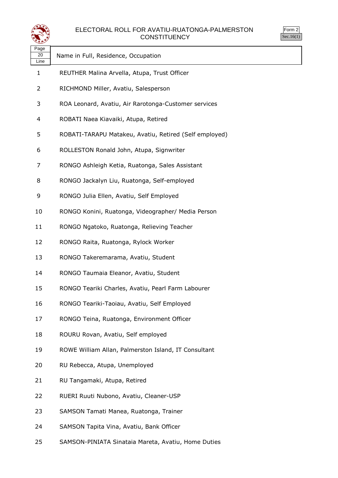



| Page |                                     |
|------|-------------------------------------|
| - 20 | Name in Full, Residence, Occupation |
| Line |                                     |

- REUTHER Malina Arvella, Atupa, Trust Officer
- RICHMOND Miller, Avatiu, Salesperson
- ROA Leonard, Avatiu, Air Rarotonga-Customer services
- ROBATI Naea Kiavaiki, Atupa, Retired
- ROBATI-TARAPU Matakeu, Avatiu, Retired (Self employed)
- ROLLESTON Ronald John, Atupa, Signwriter
- RONGO Ashleigh Ketia, Ruatonga, Sales Assistant
- RONGO Jackalyn Liu, Ruatonga, Self-employed
- RONGO Julia Ellen, Avatiu, Self Employed
- RONGO Konini, Ruatonga, Videographer/ Media Person
- RONGO Ngatoko, Ruatonga, Relieving Teacher
- RONGO Raita, Ruatonga, Rylock Worker
- RONGO Takeremarama, Avatiu, Student
- RONGO Taumaia Eleanor, Avatiu, Student
- RONGO Teariki Charles, Avatiu, Pearl Farm Labourer
- RONGO Teariki-Taoiau, Avatiu, Self Employed
- RONGO Teina, Ruatonga, Environment Officer
- ROURU Rovan, Avatiu, Self employed
- ROWE William Allan, Palmerston Island, IT Consultant
- RU Rebecca, Atupa, Unemployed
- RU Tangamaki, Atupa, Retired
- RUERI Ruuti Nubono, Avatiu, Cleaner-USP
- SAMSON Tamati Manea, Ruatonga, Trainer
- SAMSON Tapita Vina, Avatiu, Bank Officer
- SAMSON-PINIATA Sinataia Mareta, Avatiu, Home Duties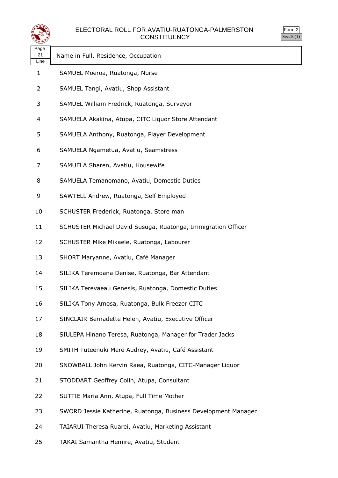



| $-1$ |                                        |
|------|----------------------------------------|
|      | 21 Name in Full, Residence, Occupation |
| Line |                                        |

- SAMUEL Moeroa, Ruatonga, Nurse
- SAMUEL Tangi, Avatiu, Shop Assistant
- SAMUEL William Fredrick, Ruatonga, Surveyor
- SAMUELA Akakina, Atupa, CITC Liquor Store Attendant
- SAMUELA Anthony, Ruatonga, Player Development
- SAMUELA Ngametua, Avatiu, Seamstress
- SAMUELA Sharen, Avatiu, Housewife
- SAMUELA Temanomano, Avatiu, Domestic Duties
- SAWTELL Andrew, Ruatonga, Self Employed
- SCHUSTER Frederick, Ruatonga, Store man
- SCHUSTER Michael David Susuga, Ruatonga, Immigration Officer
- SCHUSTER Mike Mikaele, Ruatonga, Labourer
- SHORT Maryanne, Avatiu, Café Manager
- SILIKA Teremoana Denise, Ruatonga, Bar Attendant
- SILIKA Terevaeau Genesis, Ruatonga, Domestic Duties
- SILIKA Tony Amosa, Ruatonga, Bulk Freezer CITC
- SINCLAIR Bernadette Helen, Avatiu, Executive Officer
- SIULEPA Hinano Teresa, Ruatonga, Manager for Trader Jacks
- SMITH Tuteenuki Mere Audrey, Avatiu, Café Assistant
- SNOWBALL John Kervin Raea, Ruatonga, CITC-Manager Liquor
- STODDART Geoffrey Colin, Atupa, Consultant
- SUTTIE Maria Ann, Atupa, Full Time Mother
- SWORD Jessie Katherine, Ruatonga, Business Development Manager
- TAIARUI Theresa Ruarei, Avatiu, Marketing Assistant
- TAKAI Samantha Hemire, Avatiu, Student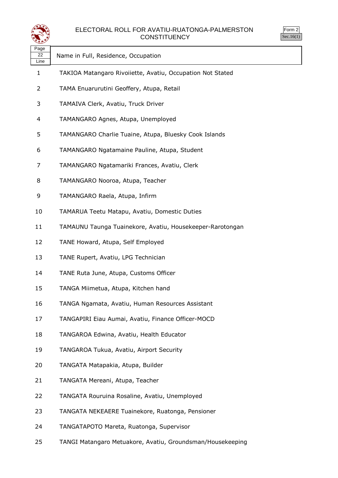



| .    |                                        |
|------|----------------------------------------|
|      | 22 Name in Full, Residence, Occupation |
| Line |                                        |

- TAKIOA Matangaro Rivoiiette, Avatiu, Occupation Not Stated
- TAMA Enuarurutini Geoffery, Atupa, Retail
- TAMAIVA Clerk, Avatiu, Truck Driver
- TAMANGARO Agnes, Atupa, Unemployed
- TAMANGARO Charlie Tuaine, Atupa, Bluesky Cook Islands
- TAMANGARO Ngatamaine Pauline, Atupa, Student
- TAMANGARO Ngatamariki Frances, Avatiu, Clerk
- TAMANGARO Nooroa, Atupa, Teacher
- TAMANGARO Raela, Atupa, Infirm
- TAMARUA Teetu Matapu, Avatiu, Domestic Duties
- TAMAUNU Taunga Tuainekore, Avatiu, Housekeeper-Rarotongan
- TANE Howard, Atupa, Self Employed
- TANE Rupert, Avatiu, LPG Technician
- TANE Ruta June, Atupa, Customs Officer
- TANGA Miimetua, Atupa, Kitchen hand
- TANGA Ngamata, Avatiu, Human Resources Assistant
- TANGAPIRI Eiau Aumai, Avatiu, Finance Officer-MOCD
- TANGAROA Edwina, Avatiu, Health Educator
- TANGAROA Tukua, Avatiu, Airport Security
- TANGATA Matapakia, Atupa, Builder
- TANGATA Mereani, Atupa, Teacher
- TANGATA Rouruina Rosaline, Avatiu, Unemployed
- TANGATA NEKEAERE Tuainekore, Ruatonga, Pensioner
- TANGATAPOTO Mareta, Ruatonga, Supervisor
- TANGI Matangaro Metuakore, Avatiu, Groundsman/Housekeeping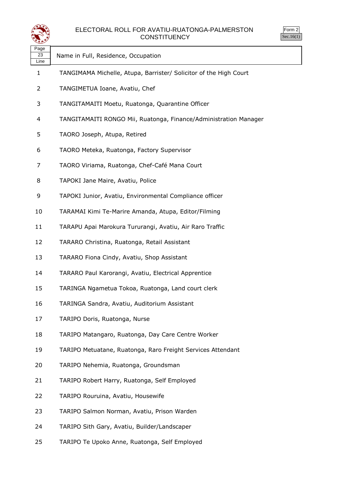

# ELECTORAL ROLL FOR AVATIU-RUATONGA-PALMERSTON



|                    | <b>CONSTITUENCY</b>                                               | Se |
|--------------------|-------------------------------------------------------------------|----|
| Page<br>23<br>Line | Name in Full, Residence, Occupation                               |    |
| 1                  | TANGIMAMA Michelle, Atupa, Barrister/ Solicitor of the High Court |    |
| $\overline{2}$     | TANGIMETUA Ioane, Avatiu, Chef                                    |    |
| 3                  | TANGITAMAITI Moetu, Ruatonga, Quarantine Officer                  |    |
| 4                  | TANGITAMAITI RONGO Mii, Ruatonga, Finance/Administration Manager  |    |
| 5                  | TAORO Joseph, Atupa, Retired                                      |    |
| 6                  | TAORO Meteka, Ruatonga, Factory Supervisor                        |    |
| 7                  | TAORO Viriama, Ruatonga, Chef-Café Mana Court                     |    |
| 8                  | TAPOKI Jane Maire, Avatiu, Police                                 |    |
| 9                  | TAPOKI Junior, Avatiu, Environmental Compliance officer           |    |
| 10                 | TARAMAI Kimi Te-Marire Amanda, Atupa, Editor/Filming              |    |
| 11                 | TARAPU Apai Marokura Tururangi, Avatiu, Air Raro Traffic          |    |
| 12                 | TARARO Christina, Ruatonga, Retail Assistant                      |    |
| 13                 | TARARO Fiona Cindy, Avatiu, Shop Assistant                        |    |
| 14                 | TARARO Paul Karorangi, Avatiu, Electrical Apprentice              |    |
| 15                 | TARINGA Ngametua Tokoa, Ruatonga, Land court clerk                |    |
| 16                 | TARINGA Sandra, Avatiu, Auditorium Assistant                      |    |
| 17                 | TARIPO Doris, Ruatonga, Nurse                                     |    |
| 18                 | TARIPO Matangaro, Ruatonga, Day Care Centre Worker                |    |
| 19                 | TARIPO Metuatane, Ruatonga, Raro Freight Services Attendant       |    |
| 20                 | TARIPO Nehemia, Ruatonga, Groundsman                              |    |
| 21                 | TARIPO Robert Harry, Ruatonga, Self Employed                      |    |
| 22                 | TARIPO Rouruina, Avatiu, Housewife                                |    |
| 23                 | TARIPO Salmon Norman, Avatiu, Prison Warden                       |    |
| 24                 | TARIPO Sith Gary, Avatiu, Builder/Landscaper                      |    |

TARIPO Te Upoko Anne, Ruatonga, Self Employed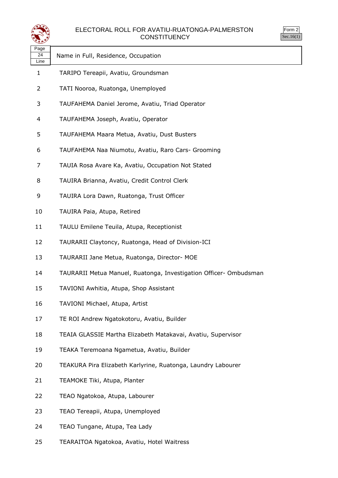



| Page |                                        |
|------|----------------------------------------|
|      | 24 Name in Full, Residence, Occupation |
| Line |                                        |

- TARIPO Tereapii, Avatiu, Groundsman
- TATI Nooroa, Ruatonga, Unemployed
- TAUFAHEMA Daniel Jerome, Avatiu, Triad Operator
- TAUFAHEMA Joseph, Avatiu, Operator
- TAUFAHEMA Maara Metua, Avatiu, Dust Busters
- TAUFAHEMA Naa Niumotu, Avatiu, Raro Cars- Grooming
- TAUIA Rosa Avare Ka, Avatiu, Occupation Not Stated
- TAUIRA Brianna, Avatiu, Credit Control Clerk
- TAUIRA Lora Dawn, Ruatonga, Trust Officer
- TAUIRA Paia, Atupa, Retired
- TAULU Emilene Teuila, Atupa, Receptionist
- TAURARII Claytoncy, Ruatonga, Head of Division-ICI
- TAURARII Jane Metua, Ruatonga, Director- MOE
- TAURARII Metua Manuel, Ruatonga, Investigation Officer- Ombudsman
- TAVIONI Awhitia, Atupa, Shop Assistant
- TAVIONI Michael, Atupa, Artist
- TE ROI Andrew Ngatokotoru, Avatiu, Builder
- TEAIA GLASSIE Martha Elizabeth Matakavai, Avatiu, Supervisor
- TEAKA Teremoana Ngametua, Avatiu, Builder
- TEAKURA Pira Elizabeth Karlyrine, Ruatonga, Laundry Labourer
- TEAMOKE Tiki, Atupa, Planter
- TEAO Ngatokoa, Atupa, Labourer
- TEAO Tereapii, Atupa, Unemployed
- TEAO Tungane, Atupa, Tea Lady
- TEARAITOA Ngatokoa, Avatiu, Hotel Waitress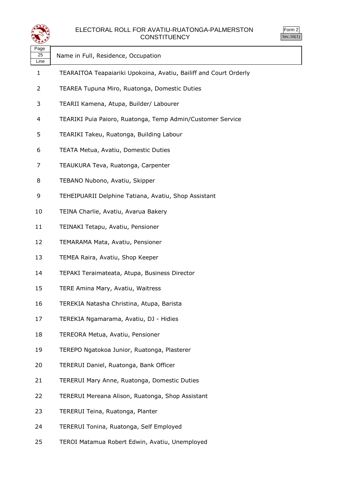



| 经少                 |                                                                   |
|--------------------|-------------------------------------------------------------------|
| Page<br>25<br>Line | Name in Full, Residence, Occupation                               |
| 1                  | TEARAITOA Teapaiariki Upokoina, Avatiu, Bailiff and Court Orderly |
| 2                  | TEAREA Tupuna Miro, Ruatonga, Domestic Duties                     |
| 3                  | TEARII Kamena, Atupa, Builder/ Labourer                           |
| 4                  | TEARIKI Puia Paioro, Ruatonga, Temp Admin/Customer Service        |
| 5                  | TEARIKI Takeu, Ruatonga, Building Labour                          |
| 6                  | TEATA Metua, Avatiu, Domestic Duties                              |
| 7                  | TEAUKURA Teva, Ruatonga, Carpenter                                |
| 8                  | TEBANO Nubono, Avatiu, Skipper                                    |
| 9                  | TEHEIPUARII Delphine Tatiana, Avatiu, Shop Assistant              |
| 10                 | TEINA Charlie, Avatiu, Avarua Bakery                              |
| 11                 | TEINAKI Tetapu, Avatiu, Pensioner                                 |
| 12                 | TEMARAMA Mata, Avatiu, Pensioner                                  |
| 13                 | TEMEA Raira, Avatiu, Shop Keeper                                  |
| 14                 | TEPAKI Teraimateata, Atupa, Business Director                     |
| 15                 | TERE Amina Mary, Avatiu, Waitress                                 |
| 16                 | TEREKIA Natasha Christina, Atupa, Barista                         |
| 17                 | TEREKIA Ngamarama, Avatiu, DJ - Hidies                            |
| 18                 | TEREORA Metua, Avatiu, Pensioner                                  |
| 19                 | TEREPO Ngatokoa Junior, Ruatonga, Plasterer                       |
| 20                 | TERERUI Daniel, Ruatonga, Bank Officer                            |
| 21                 | TERERUI Mary Anne, Ruatonga, Domestic Duties                      |
| 22                 | TERERUI Mereana Alison, Ruatonga, Shop Assistant                  |
| 23                 | TERERUI Teina, Ruatonga, Planter                                  |
| 24                 | TERERUI Tonina, Ruatonga, Self Employed                           |

TEROI Matamua Robert Edwin, Avatiu, Unemployed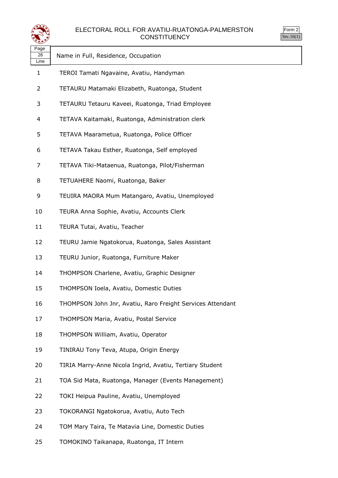



| Page<br>26<br>Line | Name in Full, Residence, Occupation                        |
|--------------------|------------------------------------------------------------|
| 1                  | TEROI Tamati Ngavaine, Avatiu, Handyman                    |
| 2                  | TETAURU Matamaki Elizabeth, Ruatonga, Student              |
| 3                  | TETAURU Tetauru Kaveei, Ruatonga, Triad Employee           |
| 4                  | TETAVA Kaitamaki, Ruatonga, Administration clerk           |
| 5                  | TETAVA Maarametua, Ruatonga, Police Officer                |
| 6                  | TETAVA Takau Esther, Ruatonga, Self employed               |
| 7                  | TETAVA Tiki-Mataenua, Ruatonga, Pilot/Fisherman            |
| 8                  | TETUAHERE Naomi, Ruatonga, Baker                           |
| 9                  | TEUIRA MAORA Mum Matangaro, Avatiu, Unemployed             |
| 10                 | TEURA Anna Sophie, Avatiu, Accounts Clerk                  |
| 11                 | TEURA Tutai, Avatiu, Teacher                               |
| 12                 | TEURU Jamie Ngatokorua, Ruatonga, Sales Assistant          |
| 13                 | TEURU Junior, Ruatonga, Furniture Maker                    |
| 14                 | THOMPSON Charlene, Avatiu, Graphic Designer                |
| 15                 | THOMPSON Ioela, Avatiu, Domestic Duties                    |
| 16                 | THOMPSON John Jnr, Avatiu, Raro Freight Services Attendant |
| 17                 | THOMPSON Maria, Avatiu, Postal Service                     |
| 18                 | THOMPSON William, Avatiu, Operator                         |
| 19                 | TINIRAU Tony Teva, Atupa, Origin Energy                    |
| 20                 | TIRIA Marry-Anne Nicola Ingrid, Avatiu, Tertiary Student   |
| 21                 | TOA Sid Mata, Ruatonga, Manager (Events Management)        |
| 22                 | TOKI Heipua Pauline, Avatiu, Unemployed                    |
| 23                 | TOKORANGI Ngatokorua, Avatiu, Auto Tech                    |
| 24                 | TOM Mary Taira, Te Matavia Line, Domestic Duties           |
|                    |                                                            |

TOMOKINO Taikanapa, Ruatonga, IT Intern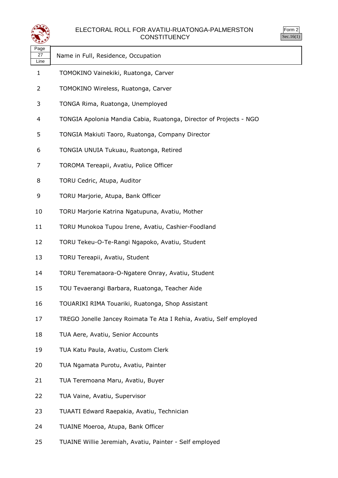



|      | 27 Name in Full, Residence, Occupation |
|------|----------------------------------------|
| Line |                                        |

- TOMOKINO Vainekiki, Ruatonga, Carver
- TOMOKINO Wireless, Ruatonga, Carver
- TONGA Rima, Ruatonga, Unemployed
- TONGIA Apolonia Mandia Cabia, Ruatonga, Director of Projects NGO
- TONGIA Makiuti Taoro, Ruatonga, Company Director
- TONGIA UNUIA Tukuau, Ruatonga, Retired
- TOROMA Tereapii, Avatiu, Police Officer
- TORU Cedric, Atupa, Auditor
- TORU Marjorie, Atupa, Bank Officer
- TORU Marjorie Katrina Ngatupuna, Avatiu, Mother
- TORU Munokoa Tupou Irene, Avatiu, Cashier-Foodland
- TORU Tekeu-O-Te-Rangi Ngapoko, Avatiu, Student
- TORU Tereapii, Avatiu, Student
- TORU Teremataora-O-Ngatere Onray, Avatiu, Student
- TOU Tevaerangi Barbara, Ruatonga, Teacher Aide
- TOUARIKI RIMA Touariki, Ruatonga, Shop Assistant
- TREGO Jonelle Jancey Roimata Te Ata I Rehia, Avatiu, Self employed
- TUA Aere, Avatiu, Senior Accounts
- TUA Katu Paula, Avatiu, Custom Clerk
- TUA Ngamata Purotu, Avatiu, Painter
- TUA Teremoana Maru, Avatiu, Buyer
- TUA Vaine, Avatiu, Supervisor
- TUAATI Edward Raepakia, Avatiu, Technician
- TUAINE Moeroa, Atupa, Bank Officer
- TUAINE Willie Jeremiah, Avatiu, Painter Self employed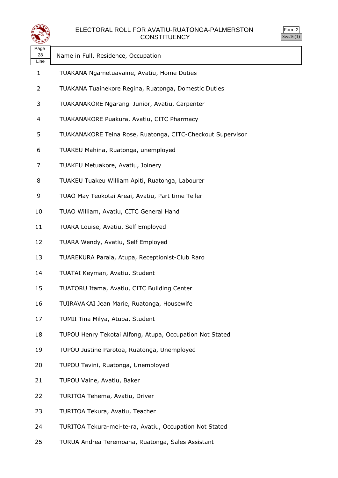



| ⋖ॾॾ୭               |                                                            |
|--------------------|------------------------------------------------------------|
| Page<br>28<br>Line | Name in Full, Residence, Occupation                        |
| $\mathbf{1}$       | TUAKANA Ngametuavaine, Avatiu, Home Duties                 |
| 2                  | TUAKANA Tuainekore Regina, Ruatonga, Domestic Duties       |
| 3                  | TUAKANAKORE Ngarangi Junior, Avatiu, Carpenter             |
| 4                  | TUAKANAKORE Puakura, Avatiu, CITC Pharmacy                 |
| 5                  | TUAKANAKORE Teina Rose, Ruatonga, CITC-Checkout Supervisor |
| 6                  | TUAKEU Mahina, Ruatonga, unemployed                        |
| 7                  | TUAKEU Metuakore, Avatiu, Joinery                          |
| 8                  | TUAKEU Tuakeu William Apiti, Ruatonga, Labourer            |
| 9                  | TUAO May Teokotai Areai, Avatiu, Part time Teller          |
| 10                 | TUAO William, Avatiu, CITC General Hand                    |
| 11                 | TUARA Louise, Avatiu, Self Employed                        |
| 12                 | TUARA Wendy, Avatiu, Self Employed                         |
| 13                 | TUAREKURA Paraia, Atupa, Receptionist-Club Raro            |
| 14                 | TUATAI Keyman, Avatiu, Student                             |
| 15                 | TUATORU Itama, Avatiu, CITC Building Center                |
| 16                 | TUIRAVAKAI Jean Marie, Ruatonga, Housewife                 |
| 17                 | TUMII Tina Milya, Atupa, Student                           |
| 18                 | TUPOU Henry Tekotai Alfong, Atupa, Occupation Not Stated   |
| 19                 | TUPOU Justine Parotoa, Ruatonga, Unemployed                |
| 20                 | TUPOU Tavini, Ruatonga, Unemployed                         |
| 21                 | TUPOU Vaine, Avatiu, Baker                                 |
| 22                 | TURITOA Tehema, Avatiu, Driver                             |
| 23                 | TURITOA Tekura, Avatiu, Teacher                            |
| 24                 | TURITOA Tekura-mei-te-ra, Avatiu, Occupation Not Stated    |
|                    |                                                            |

TURUA Andrea Teremoana, Ruatonga, Sales Assistant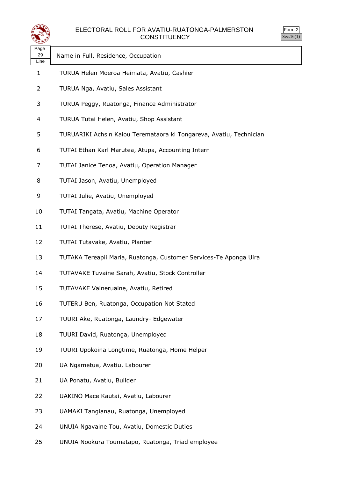



| 29                    | Name in Full, Residence, Occupation |
|-----------------------|-------------------------------------|
| $Line$ $\blacksquare$ |                                     |

- TURUA Helen Moeroa Heimata, Avatiu, Cashier
- TURUA Nga, Avatiu, Sales Assistant
- TURUA Peggy, Ruatonga, Finance Administrator
- TURUA Tutai Helen, Avatiu, Shop Assistant
- TURUARIKI Achsin Kaiou Teremataora ki Tongareva, Avatiu, Technician
- TUTAI Ethan Karl Marutea, Atupa, Accounting Intern
- TUTAI Janice Tenoa, Avatiu, Operation Manager
- TUTAI Jason, Avatiu, Unemployed
- TUTAI Julie, Avatiu, Unemployed
- TUTAI Tangata, Avatiu, Machine Operator
- TUTAI Therese, Avatiu, Deputy Registrar
- TUTAI Tutavake, Avatiu, Planter
- TUTAKA Tereapii Maria, Ruatonga, Customer Services-Te Aponga Uira
- TUTAVAKE Tuvaine Sarah, Avatiu, Stock Controller
- TUTAVAKE Vaineruaine, Avatiu, Retired
- TUTERU Ben, Ruatonga, Occupation Not Stated
- TUURI Ake, Ruatonga, Laundry- Edgewater
- TUURI David, Ruatonga, Unemployed
- TUURI Upokoina Longtime, Ruatonga, Home Helper
- UA Ngametua, Avatiu, Labourer
- UA Ponatu, Avatiu, Builder
- UAKINO Mace Kautai, Avatiu, Labourer
- UAMAKI Tangianau, Ruatonga, Unemployed
- UNUIA Ngavaine Tou, Avatiu, Domestic Duties
- UNUIA Nookura Toumatapo, Ruatonga, Triad employee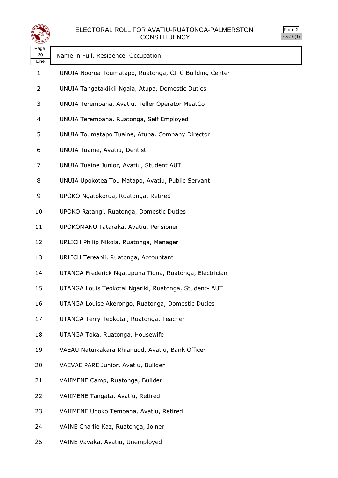



| Page<br>30<br>Line | Name in Full, Residence, Occupation                     |
|--------------------|---------------------------------------------------------|
| 1                  | UNUIA Nooroa Toumatapo, Ruatonga, CITC Building Center  |
| 2                  | UNUIA Tangatakiikii Ngaia, Atupa, Domestic Duties       |
| 3                  | UNUIA Teremoana, Avatiu, Teller Operator MeatCo         |
| 4                  | UNUIA Teremoana, Ruatonga, Self Employed                |
| 5                  | UNUIA Toumatapo Tuaine, Atupa, Company Director         |
| 6                  | UNUIA Tuaine, Avatiu, Dentist                           |
| 7                  | UNUIA Tuaine Junior, Avatiu, Student AUT                |
| 8                  | UNUIA Upokotea Tou Matapo, Avatiu, Public Servant       |
| 9                  | UPOKO Ngatokorua, Ruatonga, Retired                     |
| 10                 | UPOKO Ratangi, Ruatonga, Domestic Duties                |
| 11                 | UPOKOMANU Tataraka, Avatiu, Pensioner                   |
| 12                 | URLICH Philip Nikola, Ruatonga, Manager                 |
| 13                 | URLICH Tereapii, Ruatonga, Accountant                   |
| 14                 | UTANGA Frederick Ngatupuna Tiona, Ruatonga, Electrician |
| 15                 | UTANGA Louis Teokotai Ngariki, Ruatonga, Student- AUT   |
| 16                 | UTANGA Louise Akerongo, Ruatonga, Domestic Duties       |
| 17                 | UTANGA Terry Teokotai, Ruatonga, Teacher                |
| 18                 | UTANGA Toka, Ruatonga, Housewife                        |
| 19                 | VAEAU Natuikakara Rhianudd, Avatiu, Bank Officer        |
| 20                 | VAEVAE PARE Junior, Avatiu, Builder                     |
| 21                 | VAIIMENE Camp, Ruatonga, Builder                        |
| 22                 | VAIIMENE Tangata, Avatiu, Retired                       |
| 23                 | VAIIMENE Upoko Temoana, Avatiu, Retired                 |
| 24                 | VAINE Charlie Kaz, Ruatonga, Joiner                     |

VAINE Vavaka, Avatiu, Unemployed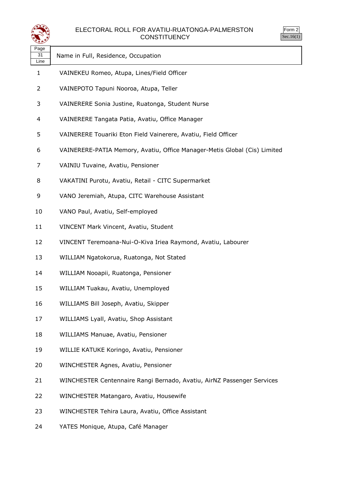



| Page |                                                   |
|------|---------------------------------------------------|
|      | <sup>31</sup> Name in Full, Residence, Occupation |
| Line |                                                   |

- VAINEKEU Romeo, Atupa, Lines/Field Officer
- VAINEPOTO Tapuni Nooroa, Atupa, Teller
- VAINERERE Sonia Justine, Ruatonga, Student Nurse
- VAINERERE Tangata Patia, Avatiu, Office Manager
- VAINERERE Touariki Eton Field Vainerere, Avatiu, Field Officer
- VAINERERE-PATIA Memory, Avatiu, Office Manager-Metis Global (Cis) Limited
- VAINIU Tuvaine, Avatiu, Pensioner
- VAKATINI Purotu, Avatiu, Retail CITC Supermarket
- VANO Jeremiah, Atupa, CITC Warehouse Assistant
- VANO Paul, Avatiu, Self-employed
- VINCENT Mark Vincent, Avatiu, Student
- VINCENT Teremoana-Nui-O-Kiva Iriea Raymond, Avatiu, Labourer
- WILLIAM Ngatokorua, Ruatonga, Not Stated
- WILLIAM Nooapii, Ruatonga, Pensioner
- WILLIAM Tuakau, Avatiu, Unemployed
- WILLIAMS Bill Joseph, Avatiu, Skipper
- WILLIAMS Lyall, Avatiu, Shop Assistant
- WILLIAMS Manuae, Avatiu, Pensioner
- WILLIE KATUKE Koringo, Avatiu, Pensioner
- WINCHESTER Agnes, Avatiu, Pensioner
- WINCHESTER Centennaire Rangi Bernado, Avatiu, AirNZ Passenger Services
- WINCHESTER Matangaro, Avatiu, Housewife
- WINCHESTER Tehira Laura, Avatiu, Office Assistant
- YATES Monique, Atupa, Café Manager